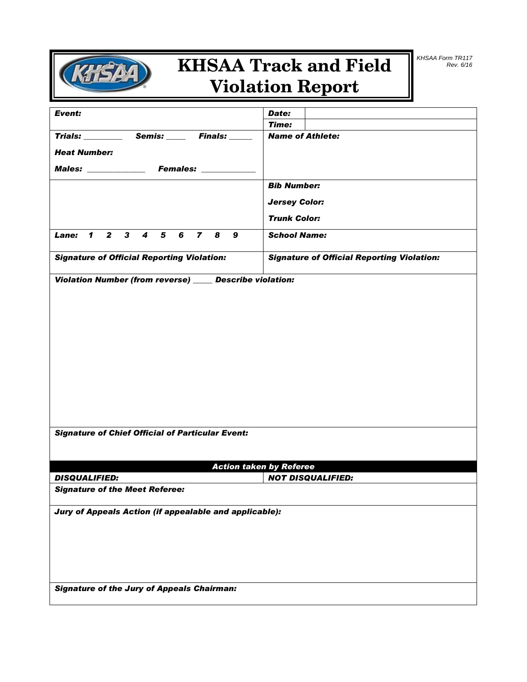

# **KHSAA Track and Field Violation Report**

| Event:                                                    | Date:                                             |
|-----------------------------------------------------------|---------------------------------------------------|
| Trials: Semis: Finals:                                    | <b>Time:</b><br><b>Name of Athlete:</b>           |
|                                                           |                                                   |
| <b>Heat Number:</b>                                       |                                                   |
| Males: _______________ Females: ___________               |                                                   |
|                                                           | <b>Bib Number:</b>                                |
|                                                           | <b>Jersey Color:</b>                              |
|                                                           | <b>Trunk Color:</b>                               |
| Lane: 1 2 3 4 5 6 7 8 9                                   | <b>School Name:</b>                               |
| <b>Signature of Official Reporting Violation:</b>         | <b>Signature of Official Reporting Violation:</b> |
| Violation Number (from reverse) _____ Describe violation: |                                                   |
|                                                           |                                                   |
|                                                           |                                                   |
|                                                           |                                                   |
|                                                           |                                                   |
|                                                           |                                                   |
|                                                           |                                                   |
|                                                           |                                                   |
|                                                           |                                                   |
|                                                           |                                                   |
|                                                           |                                                   |
|                                                           |                                                   |
|                                                           |                                                   |
| <b>Signature of Chief Official of Particular Event:</b>   |                                                   |
|                                                           |                                                   |
|                                                           | <b>Action taken by Referee</b>                    |
| <b>DISQUALIFIED:</b>                                      | <b>NOT DISQUALIFIED:</b>                          |
| <b>Signature of the Meet Referee:</b>                     |                                                   |
| Jury of Appeals Action (if appealable and applicable):    |                                                   |
|                                                           |                                                   |
|                                                           |                                                   |
|                                                           |                                                   |
|                                                           |                                                   |
|                                                           |                                                   |
| <b>Signature of the Jury of Appeals Chairman:</b>         |                                                   |